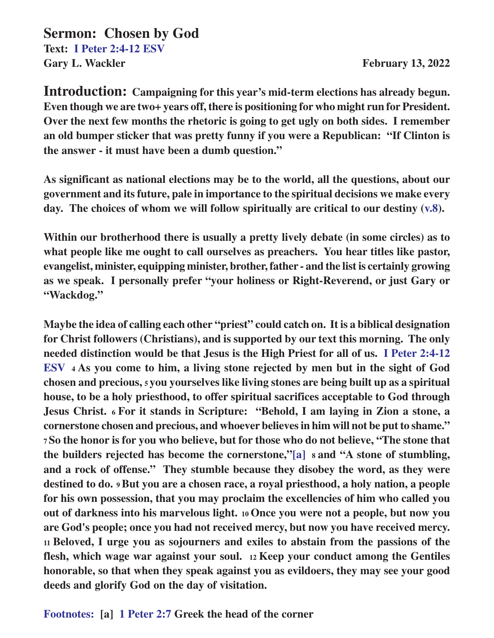**Sermon: Chosen by God Text: I Peter 2:4-12 ESV** Gary L. Wackler **February 13, 2022** 

**Introduction: Campaigning for this year's mid-term elections has already begun. Even though we are two+ years off, there is positioning for who might run for President. Over the next few months the rhetoric is going to get ugly on both sides. I remember an old bumper sticker that was pretty funny if you were a Republican: "If Clinton is the answer - it must have been a dumb question."**

**As significant as national elections may be to the world, all the questions, about our government and its future, pale in importance to the spiritual decisions we make every day. The choices of whom we will follow spiritually are critical to our destiny (v.8).**

**Within our brotherhood there is usually a pretty lively debate (in some circles) as to what people like me ought to call ourselves as preachers. You hear titles like pastor, evangelist, minister, equipping minister, brother, father - and the list is certainly growing as we speak. I personally prefer "your holiness or Right-Reverend, or just Gary or "Wackdog."**

**Maybe the idea of calling each other "priest" could catch on. It is a biblical designation for Christ followers (Christians), and is supported by our text this morning. The only needed distinction would be that Jesus is the High Priest for all of us. I Peter 2:4-12 ESV 4 As you come to him, a living stone rejected by men but in the sight of God chosen and precious, 5 you yourselves like living stones are being built up as a spiritual house, to be a holy priesthood, to offer spiritual sacrifices acceptable to God through Jesus Christ. 6 For it stands in Scripture: "Behold, I am laying in Zion a stone, a cornerstone chosen and precious, and whoever believes in him will not be put to shame." <sup>7</sup>So the honor is for you who believe, but for those who do not believe, "The stone that the builders rejected has become the cornerstone,"[a] 8 and "A stone of stumbling, and a rock of offense." They stumble because they disobey the word, as they were destined to do. 9 But you are a chosen race, a royal priesthood, a holy nation, a people for his own possession, that you may proclaim the excellencies of him who called you out of darkness into his marvelous light. 10 Once you were not a people, but now you are God's people; once you had not received mercy, but now you have received mercy. <sup>11</sup>Beloved, I urge you as sojourners and exiles to abstain from the passions of the flesh, which wage war against your soul. 12 Keep your conduct among the Gentiles honorable, so that when they speak against you as evildoers, they may see your good deeds and glorify God on the day of visitation.**

**Footnotes: [a] 1 Peter 2:7 Greek the head of the corner**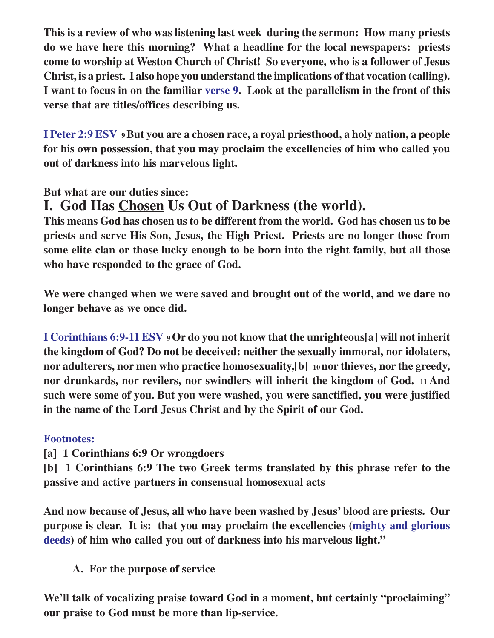**This is a review of who was listening last week during the sermon: How many priests do we have here this morning? What a headline for the local newspapers: priests come to worship at Weston Church of Christ! So everyone, who is a follower of Jesus Christ, is a priest. I also hope you understand the implications of that vocation (calling). I want to focus in on the familiar verse 9. Look at the parallelism in the front of this verse that are titles/offices describing us.**

**I Peter 2:9 ESV 9 But you are a chosen race, a royal priesthood, a holy nation, a people for his own possession, that you may proclaim the excellencies of him who called you out of darkness into his marvelous light.**

**But what are our duties since:**

## **I. God Has Chosen Us Out of Darkness (the world).**

**This means God has chosen us to be different from the world. God has chosen us to be priests and serve His Son, Jesus, the High Priest. Priests are no longer those from some elite clan or those lucky enough to be born into the right family, but all those who have responded to the grace of God.**

**We were changed when we were saved and brought out of the world, and we dare no longer behave as we once did.**

**I Corinthians 6:9-11 ESV 9 Or do you not know that the unrighteous[a] will not inherit the kingdom of God? Do not be deceived: neither the sexually immoral, nor idolaters, nor adulterers, nor men who practice homosexuality,[b] 10 nor thieves, nor the greedy, nor drunkards, nor revilers, nor swindlers will inherit the kingdom of God. 11 And such were some of you. But you were washed, you were sanctified, you were justified in the name of the Lord Jesus Christ and by the Spirit of our God.**

#### **Footnotes:**

- **[a] 1 Corinthians 6:9 Or wrongdoers**
- **[b] 1 Corinthians 6:9 The two Greek terms translated by this phrase refer to the passive and active partners in consensual homosexual acts**

**And now because of Jesus, all who have been washed by Jesus' blood are priests. Our purpose is clear. It is: that you may proclaim the excellencies (mighty and glorious deeds) of him who called you out of darkness into his marvelous light."**

**A. For the purpose of service**

**We'll talk of vocalizing praise toward God in a moment, but certainly "proclaiming" our praise to God must be more than lip-service.**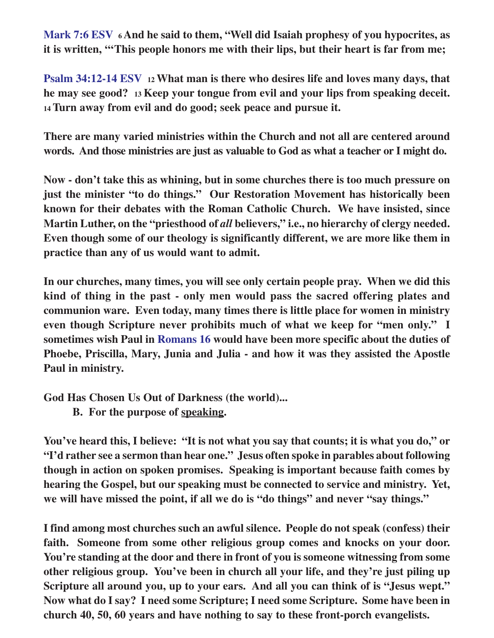**Mark 7:6 ESV 6 And he said to them, "Well did Isaiah prophesy of you hypocrites, as it is written, "'This people honors me with their lips, but their heart is far from me;**

**Psalm 34:12-14 ESV 12 What man is there who desires life and loves many days, that he may see good? 13 Keep your tongue from evil and your lips from speaking deceit. <sup>14</sup>Turn away from evil and do good; seek peace and pursue it.**

**There are many varied ministries within the Church and not all are centered around words. And those ministries are just as valuable to God as what a teacher or I might do.**

**Now - don't take this as whining, but in some churches there is too much pressure on just the minister "to do things." Our Restoration Movement has historically been known for their debates with the Roman Catholic Church. We have insisted, since Martin Luther, on the "priesthood of** *all* **believers," i.e., no hierarchy of clergy needed. Even though some of our theology is significantly different, we are more like them in practice than any of us would want to admit.**

**In our churches, many times, you will see only certain people pray. When we did this kind of thing in the past - only men would pass the sacred offering plates and communion ware. Even today, many times there is little place for women in ministry even though Scripture never prohibits much of what we keep for "men only." I sometimes wish Paul in Romans 16 would have been more specific about the duties of Phoebe, Priscilla, Mary, Junia and Julia - and how it was they assisted the Apostle Paul in ministry.**

**God Has Chosen Us Out of Darkness (the world)...**

**B. For the purpose of speaking.**

**You've heard this, I believe: "It is not what you say that counts; it is what you do," or "I'd rather see a sermon than hear one." Jesus often spoke in parables about following though in action on spoken promises. Speaking is important because faith comes by hearing the Gospel, but our speaking must be connected to service and ministry. Yet, we will have missed the point, if all we do is "do things" and never "say things."**

**I find among most churches such an awful silence. People do not speak (confess) their faith. Someone from some other religious group comes and knocks on your door. You're standing at the door and there in front of you is someone witnessing from some other religious group. You've been in church all your life, and they're just piling up Scripture all around you, up to your ears. And all you can think of is "Jesus wept." Now what do I say? I need some Scripture; I need some Scripture. Some have been in church 40, 50, 60 years and have nothing to say to these front-porch evangelists.**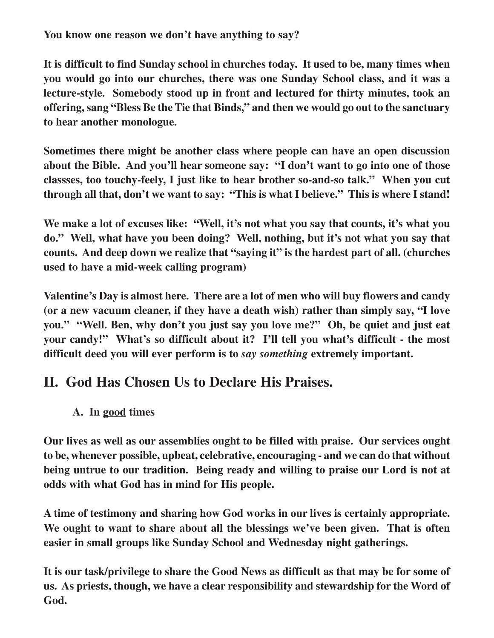**You know one reason we don't have anything to say?**

**It is difficult to find Sunday school in churches today. It used to be, many times when you would go into our churches, there was one Sunday School class, and it was a lecture-style. Somebody stood up in front and lectured for thirty minutes, took an offering, sang "Bless Be the Tie that Binds," and then we would go out to the sanctuary to hear another monologue.**

**Sometimes there might be another class where people can have an open discussion about the Bible. And you'll hear someone say: "I don't want to go into one of those classses, too touchy-feely, I just like to hear brother so-and-so talk." When you cut through all that, don't we want to say: "This is what I believe." This is where I stand!**

**We make a lot of excuses like: "Well, it's not what you say that counts, it's what you do." Well, what have you been doing? Well, nothing, but it's not what you say that counts. And deep down we realize that "saying it" is the hardest part of all. (churches used to have a mid-week calling program)**

**Valentine's Day is almost here. There are a lot of men who will buy flowers and candy (or a new vacuum cleaner, if they have a death wish) rather than simply say, "I love you." "Well. Ben, why don't you just say you love me?" Oh, be quiet and just eat your candy!" What's so difficult about it? I'll tell you what's difficult - the most difficult deed you will ever perform is to** *say something* **extremely important.**

# **II. God Has Chosen Us to Declare His Praises.**

#### **A. In good times**

**Our lives as well as our assemblies ought to be filled with praise. Our services ought to be, whenever possible, upbeat, celebrative, encouraging - and we can do that without being untrue to our tradition. Being ready and willing to praise our Lord is not at odds with what God has in mind for His people.**

**A time of testimony and sharing how God works in our lives is certainly appropriate. We ought to want to share about all the blessings we've been given. That is often easier in small groups like Sunday School and Wednesday night gatherings.**

**It is our task/privilege to share the Good News as difficult as that may be for some of us. As priests, though, we have a clear responsibility and stewardship for the Word of God.**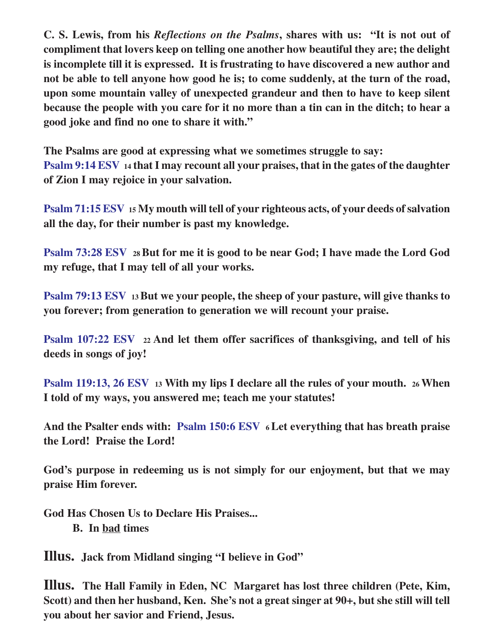**C. S. Lewis, from his** *Reflections on the Psalms***, shares with us: "It is not out of compliment that lovers keep on telling one another how beautiful they are; the delight is incomplete till it is expressed. It is frustrating to have discovered a new author and not be able to tell anyone how good he is; to come suddenly, at the turn of the road, upon some mountain valley of unexpected grandeur and then to have to keep silent because the people with you care for it no more than a tin can in the ditch; to hear a good joke and find no one to share it with."**

**The Psalms are good at expressing what we sometimes struggle to say: Psalm 9:14 ESV 14 that I may recount all your praises, that in the gates of the daughter of Zion I may rejoice in your salvation.**

**Psalm 71:15 ESV 15 My mouth will tell of your righteous acts, of your deeds of salvation all the day, for their number is past my knowledge.**

**Psalm 73:28 ESV 28 But for me it is good to be near God; I have made the Lord God my refuge, that I may tell of all your works.**

**Psalm 79:13 ESV 13 But we your people, the sheep of your pasture, will give thanks to you forever; from generation to generation we will recount your praise.**

**Psalm 107:22 ESV 22 And let them offer sacrifices of thanksgiving, and tell of his deeds in songs of joy!**

**Psalm 119:13, 26 ESV <sup>13</sup> With my lips I declare all the rules of your mouth. 26 When I told of my ways, you answered me; teach me your statutes!**

**And the Psalter ends with: Psalm 150:6 ESV 6 Let everything that has breath praise the Lord! Praise the Lord!**

**God's purpose in redeeming us is not simply for our enjoyment, but that we may praise Him forever.**

**God Has Chosen Us to Declare His Praises... B. In bad times**

**Illus. Jack from Midland singing "I believe in God"**

**Illus. The Hall Family in Eden, NC Margaret has lost three children (Pete, Kim, Scott) and then her husband, Ken. She's not a great singer at 90+, but she still will tell you about her savior and Friend, Jesus.**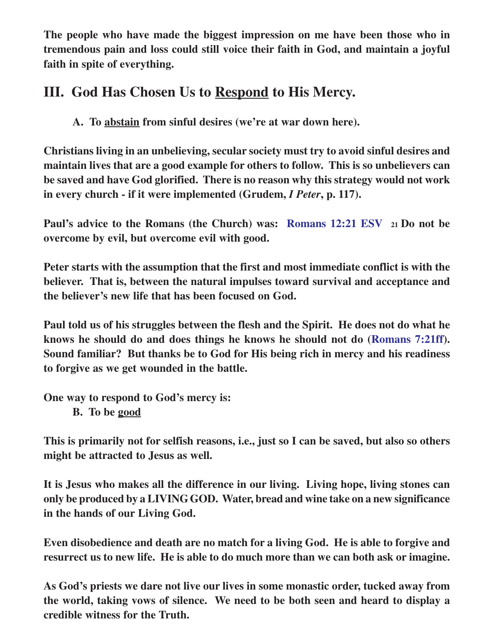**The people who have made the biggest impression on me have been those who in tremendous pain and loss could still voice their faith in God, and maintain a joyful faith in spite of everything.**

## **III. God Has Chosen Us to Respond to His Mercy.**

**A. To abstain from sinful desires (we're at war down here).**

**Christians living in an unbelieving, secular society must try to avoid sinful desires and maintain lives that are a good example for others to follow. This is so unbelievers can be saved and have God glorified. There is no reason why this strategy would not work in every church - if it were implemented (Grudem,** *I Peter***, p. 117).**

**Paul's advice to the Romans (the Church) was: Romans 12:21 ESV <sup>21</sup>Do not be overcome by evil, but overcome evil with good.**

**Peter starts with the assumption that the first and most immediate conflict is with the believer. That is, between the natural impulses toward survival and acceptance and the believer's new life that has been focused on God.**

**Paul told us of his struggles between the flesh and the Spirit. He does not do what he knows he should do and does things he knows he should not do (Romans 7:21ff). Sound familiar? But thanks be to God for His being rich in mercy and his readiness to forgive as we get wounded in the battle.**

**One way to respond to God's mercy is:**

**B. To be good**

**This is primarily not for selfish reasons, i.e., just so I can be saved, but also so others might be attracted to Jesus as well.**

**It is Jesus who makes all the difference in our living. Living hope, living stones can only be produced by a LIVING GOD. Water, bread and wine take on a new significance in the hands of our Living God.**

**Even disobedience and death are no match for a living God. He is able to forgive and resurrect us to new life. He is able to do much more than we can both ask or imagine.**

**As God's priests we dare not live our lives in some monastic order, tucked away from the world, taking vows of silence. We need to be both seen and heard to display a credible witness for the Truth.**